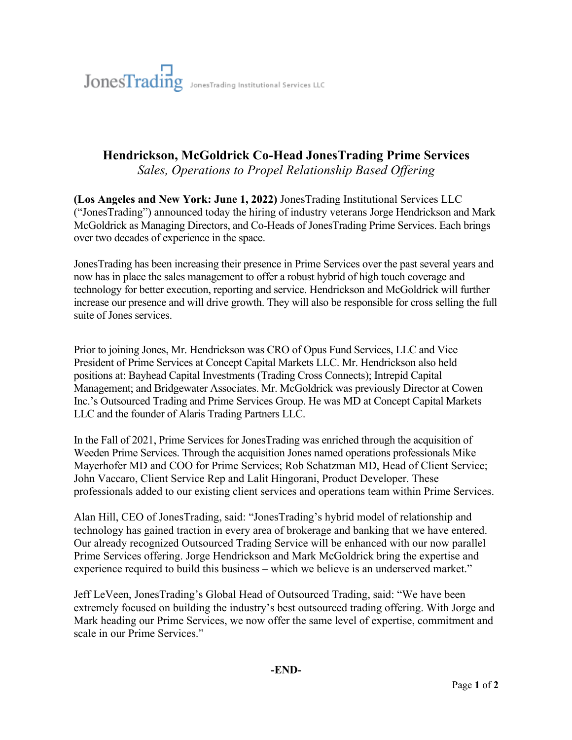## **Hendrickson, McGoldrick Co-Head JonesTrading Prime Services**

*Sales, Operations to Propel Relationship Based Offering*

**(Los Angeles and New York: June 1, 2022)** JonesTrading Institutional Services LLC ("JonesTrading") announced today the hiring of industry veterans Jorge Hendrickson and Mark McGoldrick as Managing Directors, and Co-Heads of JonesTrading Prime Services. Each brings over two decades of experience in the space.

JonesTrading has been increasing their presence in Prime Services over the past several years and now has in place the sales management to offer a robust hybrid of high touch coverage and technology for better execution, reporting and service. Hendrickson and McGoldrick will further increase our presence and will drive growth. They will also be responsible for cross selling the full suite of Jones services.

Prior to joining Jones, Mr. Hendrickson was CRO of Opus Fund Services, LLC and Vice President of Prime Services at Concept Capital Markets LLC. Mr. Hendrickson also held positions at: Bayhead Capital Investments (Trading Cross Connects); Intrepid Capital Management; and Bridgewater Associates. Mr. McGoldrick was previously Director at Cowen Inc.'s Outsourced Trading and Prime Services Group. He was MD at Concept Capital Markets LLC and the founder of Alaris Trading Partners LLC.

In the Fall of 2021, Prime Services for JonesTrading was enriched through the acquisition of Weeden Prime Services. Through the acquisition Jones named operations professionals Mike Mayerhofer MD and COO for Prime Services; Rob Schatzman MD, Head of Client Service; John Vaccaro, Client Service Rep and Lalit Hingorani, Product Developer. These professionals added to our existing client services and operations team within Prime Services.

Alan Hill, CEO of JonesTrading, said: "JonesTrading's hybrid model of relationship and technology has gained traction in every area of brokerage and banking that we have entered. Our already recognized Outsourced Trading Service will be enhanced with our now parallel Prime Services offering. Jorge Hendrickson and Mark McGoldrick bring the expertise and experience required to build this business – which we believe is an underserved market."

Jeff LeVeen, JonesTrading's Global Head of Outsourced Trading, said: "We have been extremely focused on building the industry's best outsourced trading offering. With Jorge and Mark heading our Prime Services, we now offer the same level of expertise, commitment and scale in our Prime Services."